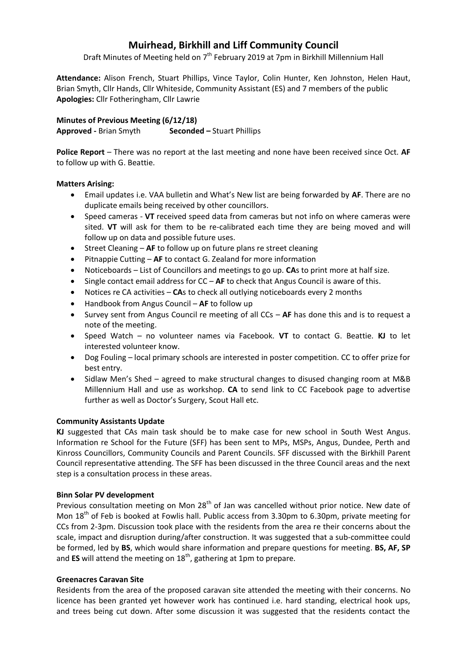# **Muirhead, Birkhill and Liff Community Council**

Draft Minutes of Meeting held on 7<sup>th</sup> February 2019 at 7pm in Birkhill Millennium Hall

**Attendance:** Alison French, Stuart Phillips, Vince Taylor, Colin Hunter, Ken Johnston, Helen Haut, Brian Smyth, Cllr Hands, Cllr Whiteside, Community Assistant (ES) and 7 members of the public **Apologies:** Cllr Fotheringham, Cllr Lawrie

**Minutes of Previous Meeting (6/12/18) Approved -** Brian Smyth **Seconded –** Stuart Phillips

**Police Report** – There was no report at the last meeting and none have been received since Oct. **AF** to follow up with G. Beattie.

## **Matters Arising:**

- Email updates i.e. VAA bulletin and What's New list are being forwarded by **AF**. There are no duplicate emails being received by other councillors.
- Speed cameras **VT** received speed data from cameras but not info on where cameras were sited. **VT** will ask for them to be re-calibrated each time they are being moved and will follow up on data and possible future uses.
- Street Cleaning **AF** to follow up on future plans re street cleaning
- Pitnappie Cutting AF to contact G. Zealand for more information
- Noticeboards List of Councillors and meetings to go up. **CA**s to print more at half size.
- Single contact email address for CC **AF** to check that Angus Council is aware of this.
- Notices re CA activities **CA**s to check all outlying noticeboards every 2 months
- Handbook from Angus Council **AF** to follow up
- Survey sent from Angus Council re meeting of all CCs **AF** has done this and is to request a note of the meeting.
- Speed Watch no volunteer names via Facebook. **VT** to contact G. Beattie. **KJ** to let interested volunteer know.
- Dog Fouling local primary schools are interested in poster competition. CC to offer prize for best entry.
- Sidlaw Men's Shed agreed to make structural changes to disused changing room at M&B Millennium Hall and use as workshop. **CA** to send link to CC Facebook page to advertise further as well as Doctor's Surgery, Scout Hall etc.

## **Community Assistants Update**

**KJ** suggested that CAs main task should be to make case for new school in South West Angus. Information re School for the Future (SFF) has been sent to MPs, MSPs, Angus, Dundee, Perth and Kinross Councillors, Community Councils and Parent Councils. SFF discussed with the Birkhill Parent Council representative attending. The SFF has been discussed in the three Council areas and the next step is a consultation process in these areas.

## **Binn Solar PV development**

Previous consultation meeting on Mon 28<sup>th</sup> of Jan was cancelled without prior notice. New date of Mon 18<sup>th</sup> of Feb is booked at Fowlis hall. Public access from 3.30pm to 6.30pm, private meeting for CCs from 2-3pm. Discussion took place with the residents from the area re their concerns about the scale, impact and disruption during/after construction. It was suggested that a sub-committee could be formed, led by **BS**, which would share information and prepare questions for meeting. **BS, AF, SP** and ES will attend the meeting on 18<sup>th</sup>, gathering at 1pm to prepare.

## **Greenacres Caravan Site**

Residents from the area of the proposed caravan site attended the meeting with their concerns. No licence has been granted yet however work has continued i.e. hard standing, electrical hook ups, and trees being cut down. After some discussion it was suggested that the residents contact the